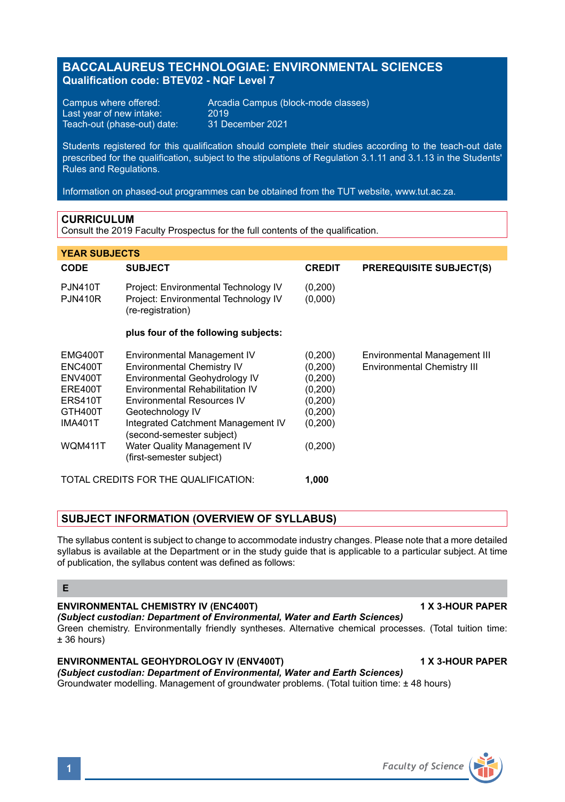# **BACCALAUREUS TECHNOLOGIAE: ENVIRONMENTAL SCIENCES Qualification code: BTEV02 - NQF Level 7**

Last year of new intake: 2019<br>Teach-out (phase-out) date: 31 December 2021 Teach-out (phase-out) date:

Campus where offered: <br>
Last vear of new intake: 2019<br>
2019

Students registered for this qualification should complete their studies according to the teach-out date prescribed for the qualification, subject to the stipulations of Regulation 3.1.11 and 3.1.13 in the Students' Rules and Regulations.

Information on phased-out programmes can be obtained from the TUT website, www.tut.ac.za.

#### **CURRICULUM**

Consult the 2019 Faculty Prospectus for the full contents of the qualification.

#### **YEAR SUBJECTS**

| <b>CODE</b>                                                                             | <b>SUBJECT</b>                                                                                                                                                                                                                                                   | <b>CREDIT</b>                                                                 | <b>PREREQUISITE SUBJECT(S)</b>                                     |
|-----------------------------------------------------------------------------------------|------------------------------------------------------------------------------------------------------------------------------------------------------------------------------------------------------------------------------------------------------------------|-------------------------------------------------------------------------------|--------------------------------------------------------------------|
| <b>PJN410T</b><br><b>PJN410R</b>                                                        | Project: Environmental Technology IV<br>Project: Environmental Technology IV<br>(re-registration)                                                                                                                                                                | (0,200)<br>(0,000)                                                            |                                                                    |
|                                                                                         | plus four of the following subjects:                                                                                                                                                                                                                             |                                                                               |                                                                    |
| EMG400T<br>ENC400T<br>ENV400T<br>ERE400T<br><b>ERS410T</b><br>GTH400T<br><b>IMA401T</b> | Environmental Management IV<br><b>Environmental Chemistry IV</b><br>Environmental Geohydrology IV<br>Environmental Rehabilitation IV<br><b>Environmental Resources IV</b><br>Geotechnology IV<br>Integrated Catchment Management IV<br>(second-semester subject) | (0,200)<br>(0, 200)<br>(0,200)<br>(0, 200)<br>(0, 200)<br>(0, 200)<br>(0,200) | Environmental Management III<br><b>Environmental Chemistry III</b> |
| <b>WQM411T</b>                                                                          | Water Quality Management IV<br>(first-semester subject)                                                                                                                                                                                                          | (0,200)                                                                       |                                                                    |
| TOTAL CREDITS FOR THE QUALIFICATION:                                                    |                                                                                                                                                                                                                                                                  | 1.000                                                                         |                                                                    |

#### **SUBJECT INFORMATION (OVERVIEW OF SYLLABUS)**

The syllabus content is subject to change to accommodate industry changes. Please note that a more detailed syllabus is available at the Department or in the study guide that is applicable to a particular subject. At time of publication, the syllabus content was defined as follows:

## **E**

#### **ENVIRONMENTAL CHEMISTRY IV (ENC400T) 1 X 3-HOUR PAPER**

*(Subject custodian: Department of Environmental, Water and Earth Sciences)*  Green chemistry. Environmentally friendly syntheses. Alternative chemical processes. (Total tuition time: ± 36 hours)

#### **ENVIRONMENTAL GEOHYDROLOGY IV (ENV400T) 1 X 3-HOUR PAPER**

*(Subject custodian: Department of Environmental, Water and Earth Sciences)* Groundwater modelling. Management of groundwater problems. (Total tuition time: ± 48 hours)